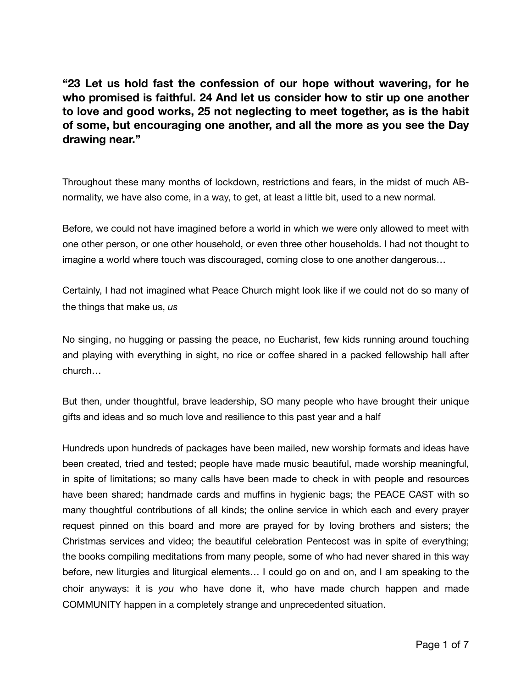**"23 Let us hold fast the confession of our hope without wavering, for he who promised is faithful. 24 And let us consider how to stir up one another to love and good works, 25 not neglecting to meet together, as is the habit of some, but encouraging one another, and all the more as you see the Day drawing near."** 

Throughout these many months of lockdown, restrictions and fears, in the midst of much ABnormality, we have also come, in a way, to get, at least a little bit, used to a new normal.

Before, we could not have imagined before a world in which we were only allowed to meet with one other person, or one other household, or even three other households. I had not thought to imagine a world where touch was discouraged, coming close to one another dangerous…

Certainly, I had not imagined what Peace Church might look like if we could not do so many of the things that make us, *us* 

No singing, no hugging or passing the peace, no Eucharist, few kids running around touching and playing with everything in sight, no rice or coffee shared in a packed fellowship hall after church…

But then, under thoughtful, brave leadership, SO many people who have brought their unique gifts and ideas and so much love and resilience to this past year and a half

Hundreds upon hundreds of packages have been mailed, new worship formats and ideas have been created, tried and tested; people have made music beautiful, made worship meaningful, in spite of limitations; so many calls have been made to check in with people and resources have been shared; handmade cards and muffins in hygienic bags; the PEACE CAST with so many thoughtful contributions of all kinds; the online service in which each and every prayer request pinned on this board and more are prayed for by loving brothers and sisters; the Christmas services and video; the beautiful celebration Pentecost was in spite of everything; the books compiling meditations from many people, some of who had never shared in this way before, new liturgies and liturgical elements… I could go on and on, and I am speaking to the choir anyways: it is *you* who have done it, who have made church happen and made COMMUNITY happen in a completely strange and unprecedented situation.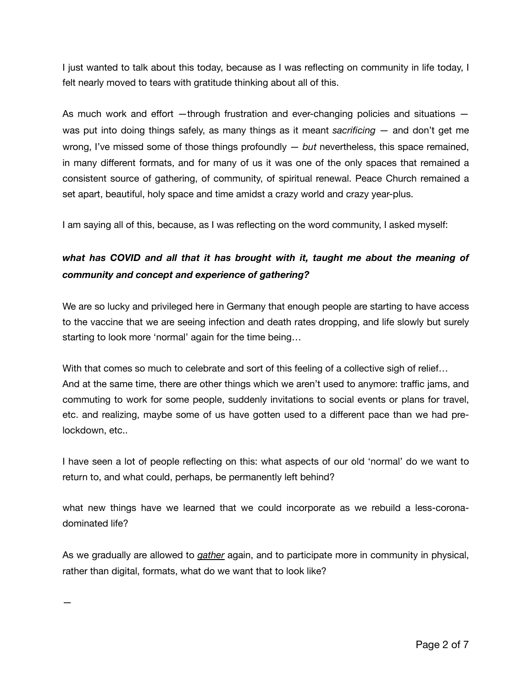I just wanted to talk about this today, because as I was reflecting on community in life today, I felt nearly moved to tears with gratitude thinking about all of this.

As much work and effort —through frustration and ever-changing policies and situations was put into doing things safely, as many things as it meant *sacrificing —* and don't get me wrong, I've missed some of those things profoundly — *but* nevertheless, this space remained, in many different formats, and for many of us it was one of the only spaces that remained a consistent source of gathering, of community, of spiritual renewal. Peace Church remained a set apart, beautiful, holy space and time amidst a crazy world and crazy year-plus.

I am saying all of this, because, as I was reflecting on the word community, I asked myself:

## *what has COVID and all that it has brought with it, taught me about the meaning of community and concept and experience of gathering?*

We are so lucky and privileged here in Germany that enough people are starting to have access to the vaccine that we are seeing infection and death rates dropping, and life slowly but surely starting to look more 'normal' again for the time being…

With that comes so much to celebrate and sort of this feeling of a collective sigh of relief... And at the same time, there are other things which we aren't used to anymore: traffic jams, and commuting to work for some people, suddenly invitations to social events or plans for travel, etc. and realizing, maybe some of us have gotten used to a different pace than we had prelockdown, etc..

I have seen a lot of people reflecting on this: what aspects of our old 'normal' do we want to return to, and what could, perhaps, be permanently left behind?

what new things have we learned that we could incorporate as we rebuild a less-coronadominated life?

As we gradually are allowed to *gather* again, and to participate more in community in physical, rather than digital, formats, what do we want that to look like?

—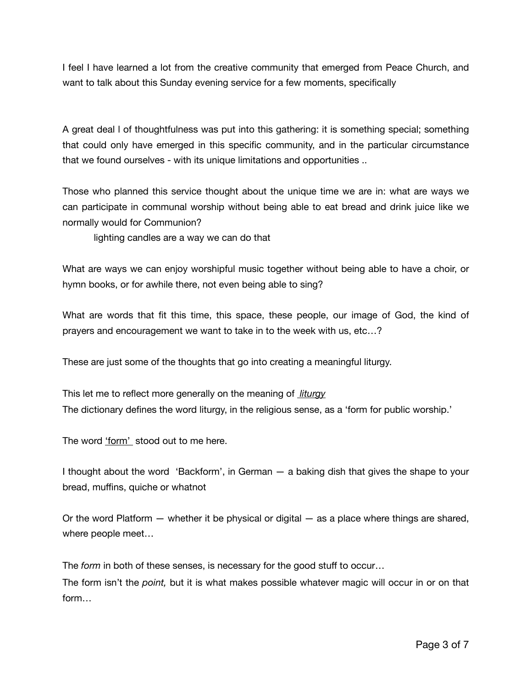I feel I have learned a lot from the creative community that emerged from Peace Church, and want to talk about this Sunday evening service for a few moments, specifically

A great deal l of thoughtfulness was put into this gathering: it is something special; something that could only have emerged in this specific community, and in the particular circumstance that we found ourselves - with its unique limitations and opportunities ..

Those who planned this service thought about the unique time we are in: what are ways we can participate in communal worship without being able to eat bread and drink juice like we normally would for Communion?

lighting candles are a way we can do that

What are ways we can enjoy worshipful music together without being able to have a choir, or hymn books, or for awhile there, not even being able to sing?

What are words that fit this time, this space, these people, our image of God, the kind of prayers and encouragement we want to take in to the week with us, etc…?

These are just some of the thoughts that go into creating a meaningful liturgy.

This let me to reflect more generally on the meaning of *liturgy* The dictionary defines the word liturgy, in the religious sense, as a 'form for public worship.'

The word 'form' stood out to me here.

I thought about the word 'Backform', in German — a baking dish that gives the shape to your bread, muffins, quiche or whatnot

Or the word Platform — whether it be physical or digital — as a place where things are shared, where people meet…

The *form* in both of these senses, is necessary for the good stuff to occur…

The form isn't the *point,* but it is what makes possible whatever magic will occur in or on that form…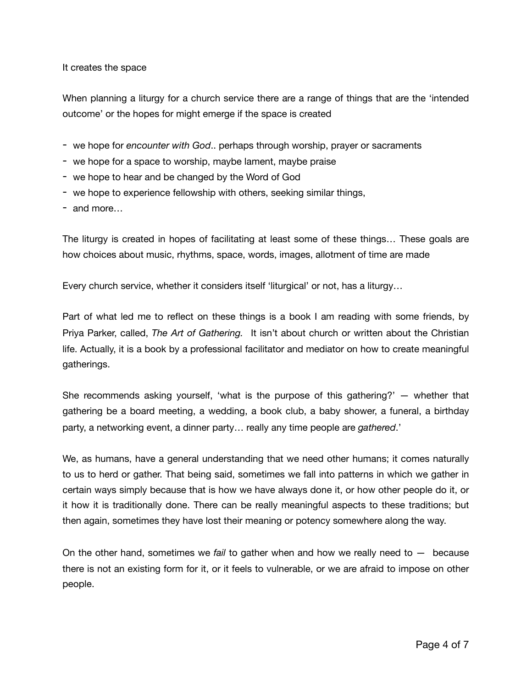It creates the space

When planning a liturgy for a church service there are a range of things that are the 'intended outcome' or the hopes for might emerge if the space is created

- we hope for *encounter with God*.. perhaps through worship, prayer or sacraments
- we hope for a space to worship, maybe lament, maybe praise
- we hope to hear and be changed by the Word of God
- we hope to experience fellowship with others, seeking similar things,
- and more…

The liturgy is created in hopes of facilitating at least some of these things… These goals are how choices about music, rhythms, space, words, images, allotment of time are made

Every church service, whether it considers itself 'liturgical' or not, has a liturgy…

Part of what led me to reflect on these things is a book I am reading with some friends, by Priya Parker, called, *The Art of Gathering.* It isn't about church or written about the Christian life. Actually, it is a book by a professional facilitator and mediator on how to create meaningful gatherings.

She recommends asking yourself, 'what is the purpose of this gathering?' — whether that gathering be a board meeting, a wedding, a book club, a baby shower, a funeral, a birthday party, a networking event, a dinner party… really any time people are *gathered*.'

We, as humans, have a general understanding that we need other humans; it comes naturally to us to herd or gather. That being said, sometimes we fall into patterns in which we gather in certain ways simply because that is how we have always done it, or how other people do it, or it how it is traditionally done. There can be really meaningful aspects to these traditions; but then again, sometimes they have lost their meaning or potency somewhere along the way.

On the other hand, sometimes we *fail* to gather when and how we really need to — because there is not an existing form for it, or it feels to vulnerable, or we are afraid to impose on other people.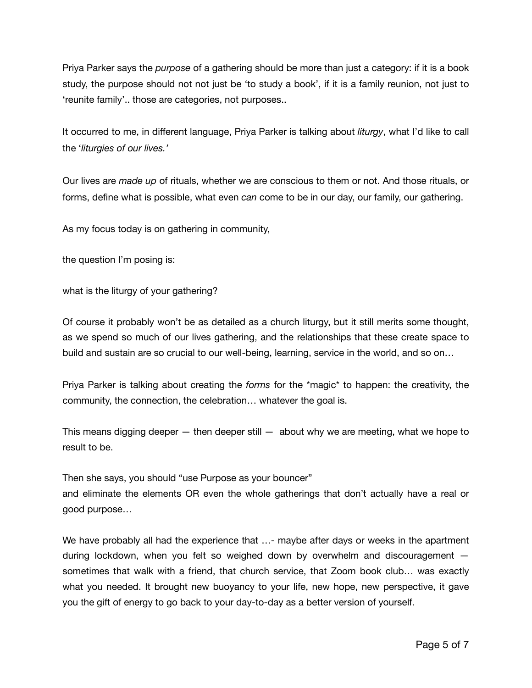Priya Parker says the *purpose* of a gathering should be more than just a category: if it is a book study, the purpose should not not just be 'to study a book', if it is a family reunion, not just to 'reunite family'.. those are categories, not purposes..

It occurred to me, in different language, Priya Parker is talking about *liturgy*, what I'd like to call the '*liturgies of our lives.'*

Our lives are *made up* of rituals, whether we are conscious to them or not. And those rituals, or forms, define what is possible, what even *can* come to be in our day, our family, our gathering.

As my focus today is on gathering in community,

the question I'm posing is:

what is the liturgy of your gathering?

Of course it probably won't be as detailed as a church liturgy, but it still merits some thought, as we spend so much of our lives gathering, and the relationships that these create space to build and sustain are so crucial to our well-being, learning, service in the world, and so on…

Priya Parker is talking about creating the *forms* for the \*magic\* to happen: the creativity, the community, the connection, the celebration… whatever the goal is.

This means digging deeper  $-$  then deeper still  $-$  about why we are meeting, what we hope to result to be.

Then she says, you should "use Purpose as your bouncer"

and eliminate the elements OR even the whole gatherings that don't actually have a real or good purpose…

We have probably all had the experience that ...- maybe after days or weeks in the apartment during lockdown, when you felt so weighed down by overwhelm and discouragement sometimes that walk with a friend, that church service, that Zoom book club… was exactly what you needed. It brought new buoyancy to your life, new hope, new perspective, it gave you the gift of energy to go back to your day-to-day as a better version of yourself.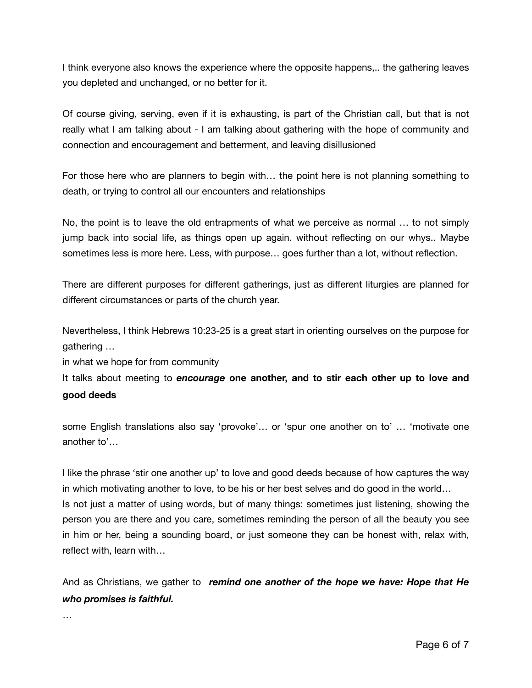I think everyone also knows the experience where the opposite happens,.. the gathering leaves you depleted and unchanged, or no better for it.

Of course giving, serving, even if it is exhausting, is part of the Christian call, but that is not really what I am talking about - I am talking about gathering with the hope of community and connection and encouragement and betterment, and leaving disillusioned

For those here who are planners to begin with… the point here is not planning something to death, or trying to control all our encounters and relationships

No, the point is to leave the old entrapments of what we perceive as normal … to not simply jump back into social life, as things open up again. without reflecting on our whys.. Maybe sometimes less is more here. Less, with purpose… goes further than a lot, without reflection.

There are different purposes for different gatherings, just as different liturgies are planned for different circumstances or parts of the church year.

Nevertheless, I think Hebrews 10:23-25 is a great start in orienting ourselves on the purpose for gathering …

in what we hope for from community

It talks about meeting to *encourage* **one another, and to stir each other up to love and good deeds** 

some English translations also say 'provoke'… or 'spur one another on to' … 'motivate one another to'…

I like the phrase 'stir one another up' to love and good deeds because of how captures the way in which motivating another to love, to be his or her best selves and do good in the world… Is not just a matter of using words, but of many things: sometimes just listening, showing the person you are there and you care, sometimes reminding the person of all the beauty you see in him or her, being a sounding board, or just someone they can be honest with, relax with, reflect with, learn with…

And as Christians, we gather to *remind one another of the hope we have: Hope that He who promises is faithful.*